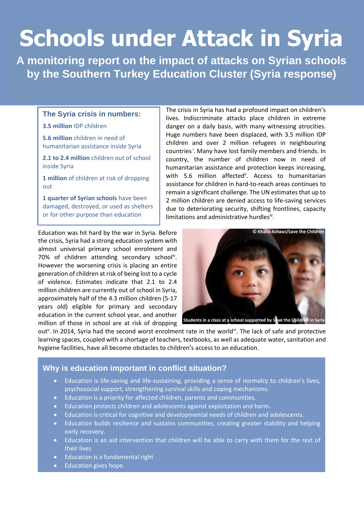# **Schools under Attack in Syria**

**A monitoring report on the impact of attacks on Syrian schools by the Southern Turkey Education Cluster (Syria response)**

#### **The Syria crisis in numbers:**

**3.5 million** IDP children

**5.6 million** children in need of humanitarian assistance inside Syria

**2.1 to 2.4 million** children out of school inside Syria

**1 million** of children at risk of dropping out

**1 quarter of Syrian schools** have been damaged, destroyed, or used as shelters or for other purpose than education

Education was hit hard by the war in Syria. Before the crisis, Syria had a strong education system with almost universal primary school enrolment and 70% of children attending secondary school<sup>iv</sup>. However the worsening crisis is placing an entire generation of children at risk of being lost to a cycle of violence. Estimates indicate that 2.1 to 2.4 million children are currently out of school in Syria, approximately half of the 4.3 million children (5-17 years old) eligible for primary and secondary education in the current school year, and another million of those in school are at risk of dropping

The crisis in Syria has had a profound impact on children's lives. Indiscriminate attacks place children in extreme danger on a daily basis, with many witnessing atrocities. Huge numbers have been displaced, with 3.5 million IDP children and over 2 million refugees in neighbouring countries<sup>i</sup>. Many have lost family members and friends. In country, the number of children now in need of humanitarian assistance and protection keeps increasing, with 5.6 million affected<sup>ii</sup>. Access to humanitarian assistance for children in hard-to-reach areas continues to remain a significant challenge. The UN estimates that up to 2 million children are denied access to life-saving services due to deteriorating security, shifting frontlines, capacity limitations and administrative hurdlesii.



out<sup>v</sup>. In 2014, Syria had the second worst enrolment rate in the world<sup>vi</sup>. The lack of safe and protective learning spaces, coupled with a shortage of teachers, textbooks, as well as adequate water, sanitation and hygiene facilities, have all become obstacles to children's access to an education.

# **Why is education important in conflict situation?**

- Education is life-saving and life-sustaining, providing a sense of normalcy to children's lives, psychosocial support, strengthening survival skills and coping mechanisms.
- Education is a priority for affected children, parents and communities.
- Education protects children and adolescents against exploitation and harm.
- Education is critical for cognitive and developmental needs of children and adolescents.
- Education builds resilience and sustains communities, creating greater stability and helping early recovery.
- Education is an aid intervention that children will be able to carry with them for the rest of their lives
- Education is a fundamental right
- Education gives hope.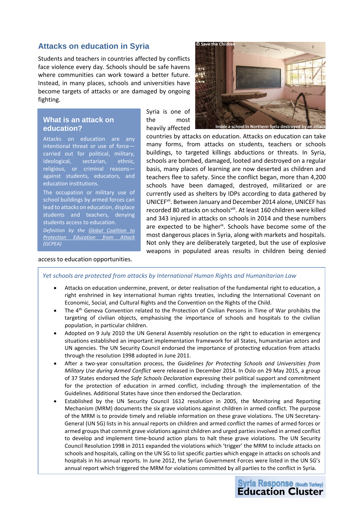## **Attacks on education in Syria**

Students and teachers in countries affected by conflicts face violence every day. Schools should be safe havens where communities can work toward a better future. Instead, in many places, schools and universities have become targets of attacks or are damaged by ongoing fighting.

#### **What is an attack on education?**

Attacks on education are any intentional threat or use of force carried out for political, military, ideological, sectarian, ethnic, religious, or criminal reasons against students, educators, and education institutions.

The occupation or military use of school buildings by armed forces can lead to attacks on education, displace students and teachers, denying students access to education.

*Definition by the [Global Coalition to](http://www.protectingeducation.org/what-attack-education)  [Protection Education from Attack](http://www.protectingeducation.org/what-attack-education) (GCPEA)* 

access to education opportunities.

Syria is one of the most heavily affected



e a school in Northern Svria dest

countries by attacks on education. Attacks on education can take many forms, from attacks on students, teachers or schools buildings, to targeted killings abductions or threats. In Syria, schools are bombed, damaged, looted and destroyed on a regular basis, many places of learning are now deserted as children and teachers flee to safety. Since the conflict began, more than 4,200 schools have been damaged, destroyed, militarized or are currently used as shelters by IDPs according to data gathered by UNICEF<sup>vii</sup>. Between January and December 2014 alone, UNICEF has recorded 80 attacks on schoolsviii. At least 160 children were killed and 343 injured in attacks on schools in 2014 and these numbers are expected to be higher<sup>ix</sup>. Schools have become some of the most dangerous places in Syria, along with markets and hospitals. Not only they are deliberately targeted, but the use of explosive weapons in populated areas results in children being denied

#### *Yet schools are protected from attacks by International Human Rights and Humanitarian Law*

- Attacks on education undermine, prevent, or deter realisation of the fundamental right to education, a right enshrined in key international human rights treaties, including the International Covenant on Economic, Social, and Cultural Rights and the Convention on the Rights of the Child.
- The 4th Geneva Convention related to the Protection of Civilian Persons in Time of War prohibits the targeting of civilian objects, emphasising the importance of schools and hospitals to the civilian population, in particular children.
- Adopted on 9 July 2010 the UN General Assembly resolution on the right to education in emergency situations established an important implementation framework for all States, humanitarian actors and UN agencies. The UN Security Council endorsed the importance of protecting education from attacks through the resolution 1998 adopted in June 2011.
- After a two-year consultation process, the *Guidelines for Protecting Schools and Universities from Military Use during Armed Conflict* were released in December 2014. In Oslo on 29 May 2015, a group of 37 States endorsed the *Safe Schools Declaration* expressing their political support and commitment for the protection of education in armed conflict, including through the implementation of the Guidelines. Additional States have since then endorsed the Declaration.
- Established by the UN Security Council 1612 resolution in 2005, the Monitoring and Reporting Mechanism (MRM) documents the six grave violations against children in armed conflict. The purpose of the MRM is to provide timely and reliable information on these grave violations. The UN Secretary-General (UN SG) lists in his annual reports on children and armed conflict the names of armed forces or armed groups that commit grave violations against children and urged parties involved in armed conflict to develop and implement time-bound action plans to halt these grave violations. The UN Security Council Resolution 1998 in 2011 expanded the violations which 'trigger' the MRM to include attacks on schools and hospitals, calling on the UN SG to list specific parties which engage in attacks on schools and hospitals in his annual reports. In June 2012, the Syrian Government Forces were listed in the UN SG's annual report which triggered the MRM for violations committed by all parties to the conflict in Syria.

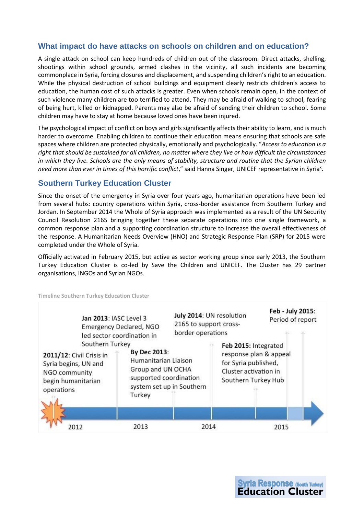## **What impact do have attacks on schools on children and on education?**

A single attack on school can keep hundreds of children out of the classroom. Direct attacks, shelling, shootings within school grounds, armed clashes in the vicinity, all such incidents are becoming commonplace in Syria, forcing closures and displacement, and suspending children's right to an education. While the physical destruction of school buildings and equipment clearly restricts children's access to education, the human cost of such attacks is greater. Even when schools remain open, in the context of such violence many children are too terrified to attend. They may be afraid of walking to school, fearing of being hurt, killed or kidnapped. Parents may also be afraid of sending their children to school. Some children may have to stay at home because loved ones have been injured.

The psychological impact of conflict on boys and girls significantly affects their ability to learn, and is much harder to overcome. Enabling children to continue their education means ensuring that schools are safe spaces where children are protected physically, emotionally and psychologically. "*Access to education is a right that should be sustained for all children, no matter where they live or how difficult the circumstances in which they live. Schools are the only means of stability, structure and routine that the Syrian children*  need more than ever in times of this horrific conflict," said Hanna Singer, UNICEF representative in Syria<sup>x</sup>.

## **Southern Turkey Education Cluster**

Since the onset of the emergency in Syria over four years ago, humanitarian operations have been led from several hubs: country operations within Syria, cross-border assistance from Southern Turkey and Jordan. In September 2014 the Whole of Syria approach was implemented as a result of the UN Security Council Resolution 2165 bringing together these separate operations into one single framework, a common response plan and a supporting coordination structure to increase the overall effectiveness of the response. A Humanitarian Needs Overview (HNO) and Strategic Response Plan (SRP) for 2015 were completed under the Whole of Syria.

Officially activated in February 2015, but active as sector working group since early 2013, the Southern Turkey Education Cluster is co-led by Save the Children and UNICEF. The Cluster has 29 partner organisations, INGOs and Syrian NGOs.



**Timeline Southern Turkey Education Cluster**

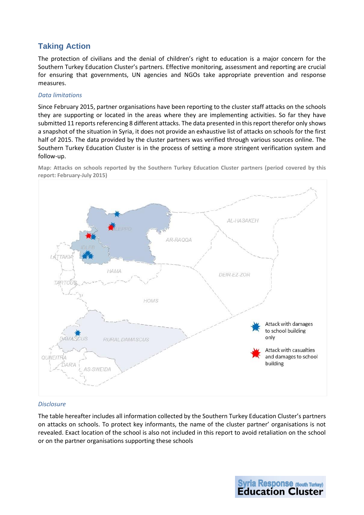# **Taking Action**

The protection of civilians and the denial of children's right to education is a major concern for the Southern Turkey Education Cluster's partners. Effective monitoring, assessment and reporting are crucial for ensuring that governments, UN agencies and NGOs take appropriate prevention and response measures.

#### *Data limitations*

Since February 2015, partner organisations have been reporting to the cluster staff attacks on the schools they are supporting or located in the areas where they are implementing activities. So far they have submitted 11 reports referencing 8 different attacks. The data presented in this report therefor only shows a snapshot of the situation in Syria, it does not provide an exhaustive list of attacks on schools for the first half of 2015. The data provided by the cluster partners was verified through various sources online. The Southern Turkey Education Cluster is in the process of setting a more stringent verification system and follow-up.

**Map: Attacks on schools reported by the Southern Turkey Education Cluster partners (period covered by this report: February-July 2015)**



#### *Disclosure*

The table hereafter includes all information collected by the Southern Turkey Education Cluster's partners on attacks on schools. To protect key informants, the name of the cluster partner' organisations is not revealed. Exact location of the school is also not included in this report to avoid retaliation on the school or on the partner organisations supporting these schools

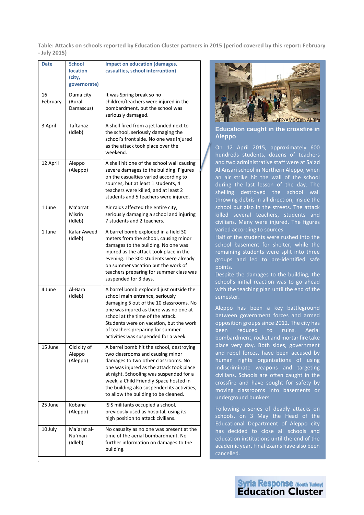**Table: Attacks on schools reported by Education Cluster partners in 2015 (period covered by this report: February - July 2015)**

| <b>Date</b>    | <b>School</b><br><b>location</b><br>(city,<br>governorate) | <b>Impact on education (damages,</b><br>casualties, school interruption)                                                                                                                                                                                                                                                                    |
|----------------|------------------------------------------------------------|---------------------------------------------------------------------------------------------------------------------------------------------------------------------------------------------------------------------------------------------------------------------------------------------------------------------------------------------|
| 16<br>February | Duma city<br>(Rural<br>Damascus)                           | It was Spring break so no<br>children/teachers were injured in the<br>bombardment, but the school was<br>seriously damaged.                                                                                                                                                                                                                 |
| 3 April        | Taftanaz<br>(Idleb)                                        | A shell fired from a jet landed next to<br>the school, seriously damaging the<br>school's front side. No one was injured<br>as the attack took place over the<br>weekend.                                                                                                                                                                   |
| 12 April       | Aleppo<br>(Aleppo)                                         | A shell hit one of the school wall causing<br>severe damages to the building. Figures<br>on the casualties varied according to<br>sources, but at least 1 students, 4<br>teachers were killed, and at least 2<br>students and 5 teachers were injured.                                                                                      |
| 1 June         | Ma'arrat<br>Misrin<br>(Idleb)                              | Air raids affected the entire city,<br>seriously damaging a school and injuring<br>7 students and 2 teachers.                                                                                                                                                                                                                               |
| 1 June         | Kafar Aweed<br>(Idleb)                                     | A barrel bomb exploded in a field 30<br>meters from the school, causing minor<br>damages to the building. No one was<br>injured as the attack took place in the<br>evening. The 300 students were already<br>on summer vacation but the work of<br>teachers preparing for summer class was<br>suspended for 3 days.                         |
| 4 June         | Al-Bara<br>(Idleb)                                         | A barrel bomb exploded just outside the<br>school main entrance, seriously<br>damaging 5 out of the 10 classrooms. No<br>one was injured as there was no one at<br>school at the time of the attack.<br>Students were on vacation, but the work<br>of teachers preparing for summer<br>activities was suspended for a week.                 |
| 15 June        | Old city of<br>Aleppo<br>(Aleppo)                          | A barrel bomb hit the school, destroying<br>two classrooms and causing minor<br>damages to two other classrooms. No<br>one was injured as the attack took place<br>at night. Schooling was suspended for a<br>week, a Child Friendly Space hosted in<br>the building also suspended its activities,<br>to allow the building to be cleaned. |
| 25 June        | Kobane<br>(Aleppo)                                         | ISIS militants occupied a school,<br>previously used as hospital, using its<br>high position to attack civilians.                                                                                                                                                                                                                           |
| 10 July        | Ma`arat al-<br>Nu`man<br>(Idleb)                           | No casualty as no one was present at the<br>time of the aerial bombardment. No<br>further information on damages to the<br>building.                                                                                                                                                                                                        |

.



**Education caught in the crossfire in Aleppo**

On 12 April 2015, approximately 600 hundreds students, dozens of teachers and two administrative staff were at Sa'ad Al Ansari school in Northern Aleppo, when an air strike hit the wall of the school during the last lesson of the day. The shelling destroyed the school wall throwing debris in all direction, inside the school but also in the streets. The attack killed several teachers, students and civilians. Many were injured. The figures varied according to sources

Half of the students were rushed into the school basement for shelter, while the remaining students were split into three groups and led to pre-identified safe points.

Despite the damages to the building, the school's initial reaction was to go ahead with the teaching plan until the end of the semester.

Aleppo has been a key battleground between government forces and armed opposition groups since 2012. The city has been reduced to ruins. Aerial bombardment, rocket and mortar fire take place very day. Both sides, government and rebel forces, have been accused by human rights organisations of using indiscriminate weapons and targeting civilians. Schools are often caught in the crossfire and have sought for safety by moving classrooms into basements or underground bunkers.

Following a series of deadly attacks on schools, on 3 May the Head of the Educational Department of Aleppo city has decided to close all schools and education institutions until the end of the academic year. Final exams have also been cancelled.